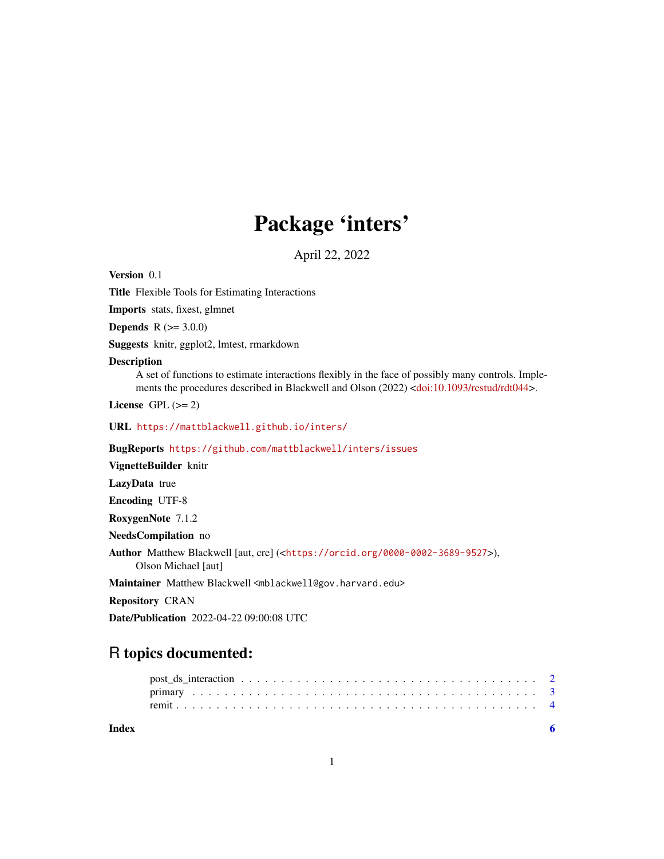## Package 'inters'

April 22, 2022

Version 0.1

Title Flexible Tools for Estimating Interactions

Imports stats, fixest, glmnet

**Depends**  $R (= 3.0.0)$ 

Suggests knitr, ggplot2, lmtest, rmarkdown

#### Description

A set of functions to estimate interactions flexibly in the face of possibly many controls. Implements the procedures described in Blackwell and Olson (2022) [<doi:10.1093/restud/rdt044>](https://doi.org/10.1093/restud/rdt044).

License GPL  $(>= 2)$ 

URL <https://mattblackwell.github.io/inters/>

BugReports <https://github.com/mattblackwell/inters/issues>

VignetteBuilder knitr

LazyData true

Encoding UTF-8

RoxygenNote 7.1.2

NeedsCompilation no

Author Matthew Blackwell [aut, cre] (<<https://orcid.org/0000-0002-3689-9527>>), Olson Michael [aut]

Maintainer Matthew Blackwell <mblackwell@gov.harvard.edu>

Repository CRAN

Date/Publication 2022-04-22 09:00:08 UTC

### R topics documented:

**Index** [6](#page-5-0) **6**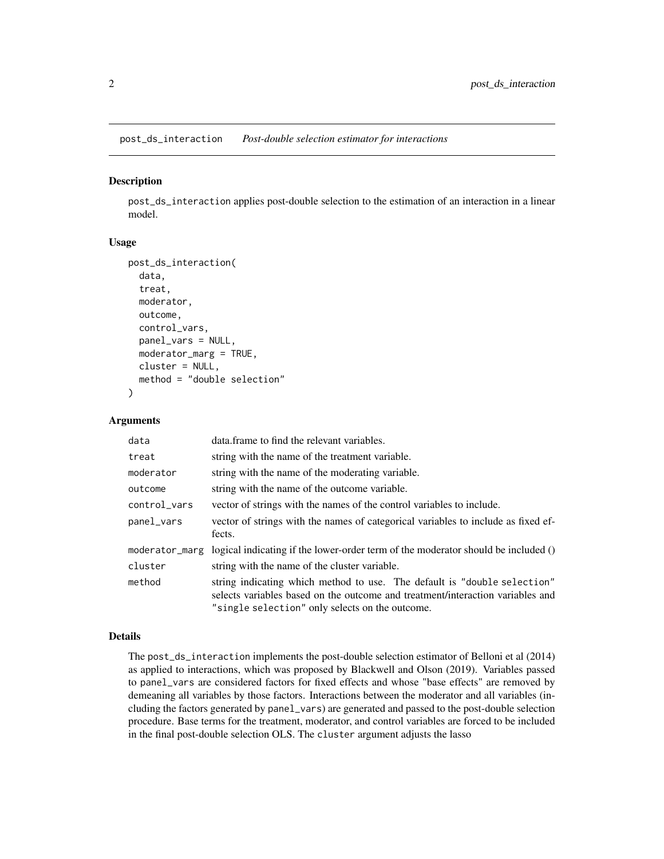<span id="page-1-0"></span>post\_ds\_interaction *Post-double selection estimator for interactions*

#### Description

post\_ds\_interaction applies post-double selection to the estimation of an interaction in a linear model.

#### Usage

```
post_ds_interaction(
  data,
  treat,
 moderator,
  outcome,
  control_vars,
 panel_vars = NULL,
 moderator_marg = TRUE,
  cluster = NULL,
 method = "double selection"
)
```
#### Arguments

| data           | data. frame to find the relevant variables.                                                                                                                                                                   |
|----------------|---------------------------------------------------------------------------------------------------------------------------------------------------------------------------------------------------------------|
| treat          | string with the name of the treatment variable.                                                                                                                                                               |
| moderator      | string with the name of the moderating variable.                                                                                                                                                              |
| outcome        | string with the name of the outcome variable.                                                                                                                                                                 |
| control_vars   | vector of strings with the names of the control variables to include.                                                                                                                                         |
| panel_vars     | vector of strings with the names of categorical variables to include as fixed ef-<br>fects.                                                                                                                   |
| moderator_marg | logical indicating if the lower-order term of the moderator should be included ()                                                                                                                             |
| cluster        | string with the name of the cluster variable.                                                                                                                                                                 |
| method         | string indicating which method to use. The default is "double selection"<br>selects variables based on the outcome and treatment/interaction variables and<br>"single selection" only selects on the outcome. |

#### Details

The post\_ds\_interaction implements the post-double selection estimator of Belloni et al (2014) as applied to interactions, which was proposed by Blackwell and Olson (2019). Variables passed to panel\_vars are considered factors for fixed effects and whose "base effects" are removed by demeaning all variables by those factors. Interactions between the moderator and all variables (including the factors generated by panel\_vars) are generated and passed to the post-double selection procedure. Base terms for the treatment, moderator, and control variables are forced to be included in the final post-double selection OLS. The cluster argument adjusts the lasso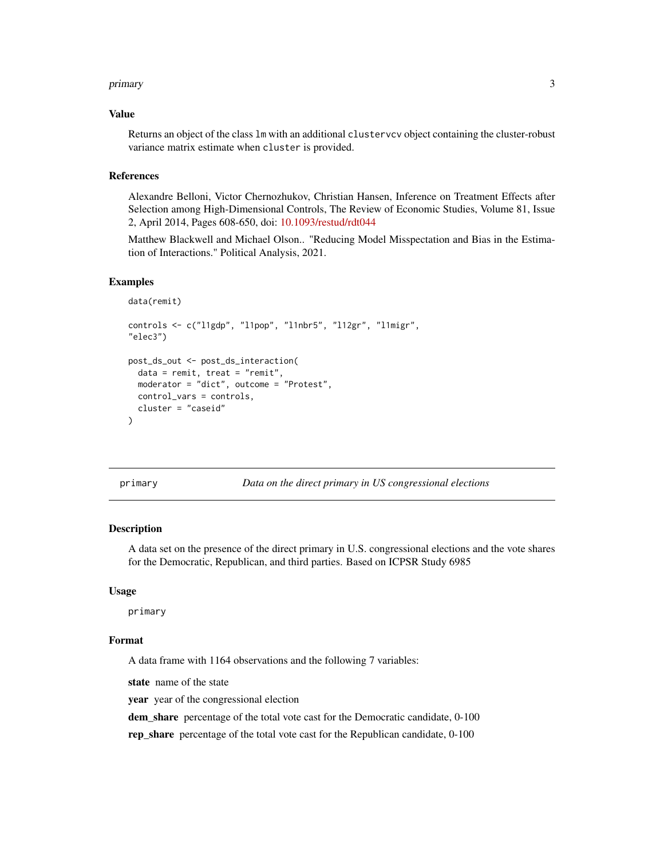#### <span id="page-2-0"></span>primary 3

#### Value

Returns an object of the class lm with an additional clustervcv object containing the cluster-robust variance matrix estimate when cluster is provided.

#### References

Alexandre Belloni, Victor Chernozhukov, Christian Hansen, Inference on Treatment Effects after Selection among High-Dimensional Controls, The Review of Economic Studies, Volume 81, Issue 2, April 2014, Pages 608-650, doi: [10.1093/restud/rdt044](https://doi.org/10.1093/restud/rdt044)

Matthew Blackwell and Michael Olson.. "Reducing Model Misspectation and Bias in the Estimation of Interactions." Political Analysis, 2021.

#### Examples

```
data(remit)
controls <- c("l1gdp", "l1pop", "l1nbr5", "l12gr", "l1migr",
"elec3")
post_ds_out <- post_ds_interaction(
 data = remit, treat = "remit",moderator = "dict", outcome = "Protest",
 control_vars = controls,
 cluster = "caseid"
)
```
primary *Data on the direct primary in US congressional elections*

#### Description

A data set on the presence of the direct primary in U.S. congressional elections and the vote shares for the Democratic, Republican, and third parties. Based on ICPSR Study 6985

#### Usage

primary

#### Format

A data frame with 1164 observations and the following 7 variables:

state name of the state

year year of the congressional election

dem\_share percentage of the total vote cast for the Democratic candidate, 0-100

rep\_share percentage of the total vote cast for the Republican candidate, 0-100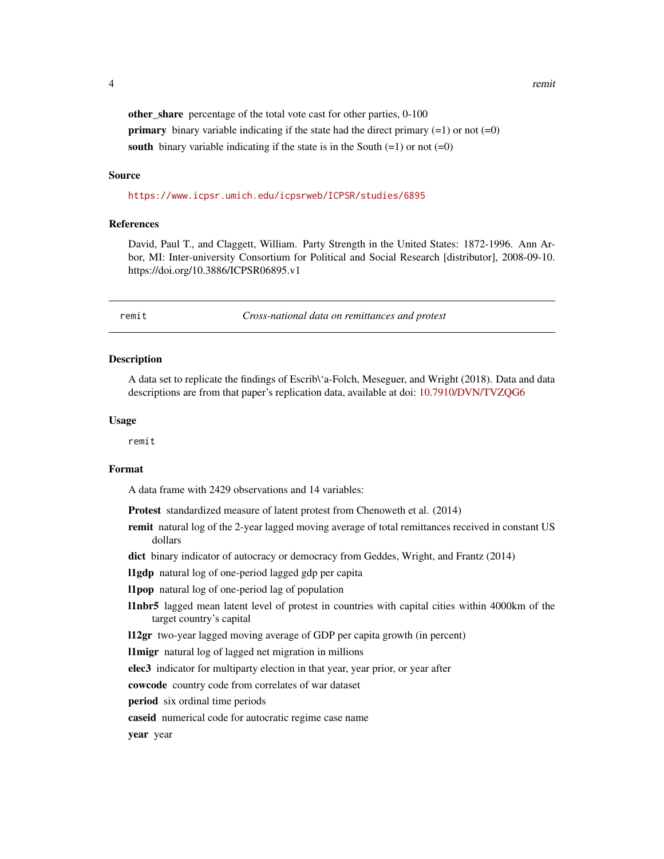<span id="page-3-0"></span>

other\_share percentage of the total vote cast for other parties, 0-100 **primary** binary variable indicating if the state had the direct primary  $(=1)$  or not  $(=0)$ south binary variable indicating if the state is in the South  $(=1)$  or not  $(=0)$ 

#### Source

<https://www.icpsr.umich.edu/icpsrweb/ICPSR/studies/6895>

#### References

David, Paul T., and Claggett, William. Party Strength in the United States: 1872-1996. Ann Arbor, MI: Inter-university Consortium for Political and Social Research [distributor], 2008-09-10. https://doi.org/10.3886/ICPSR06895.v1

remit *Cross-national data on remittances and protest*

#### **Description**

A data set to replicate the findings of Escrib\'a-Folch, Meseguer, and Wright (2018). Data and data descriptions are from that paper's replication data, available at doi: [10.7910/DVN/TVZQG6](https://doi.org/10.7910/DVN/TVZQG6)

#### Usage

remit

#### Format

A data frame with 2429 observations and 14 variables:

Protest standardized measure of latent protest from Chenoweth et al. (2014)

remit natural log of the 2-year lagged moving average of total remittances received in constant US dollars

dict binary indicator of autocracy or democracy from Geddes, Wright, and Frantz (2014)

l1gdp natural log of one-period lagged gdp per capita

- l1pop natural log of one-period lag of population
- l1nbr5 lagged mean latent level of protest in countries with capital cities within 4000km of the target country's capital

l12gr two-year lagged moving average of GDP per capita growth (in percent)

l1migr natural log of lagged net migration in millions

elec3 indicator for multiparty election in that year, year prior, or year after

cowcode country code from correlates of war dataset

period six ordinal time periods

caseid numerical code for autocratic regime case name

year year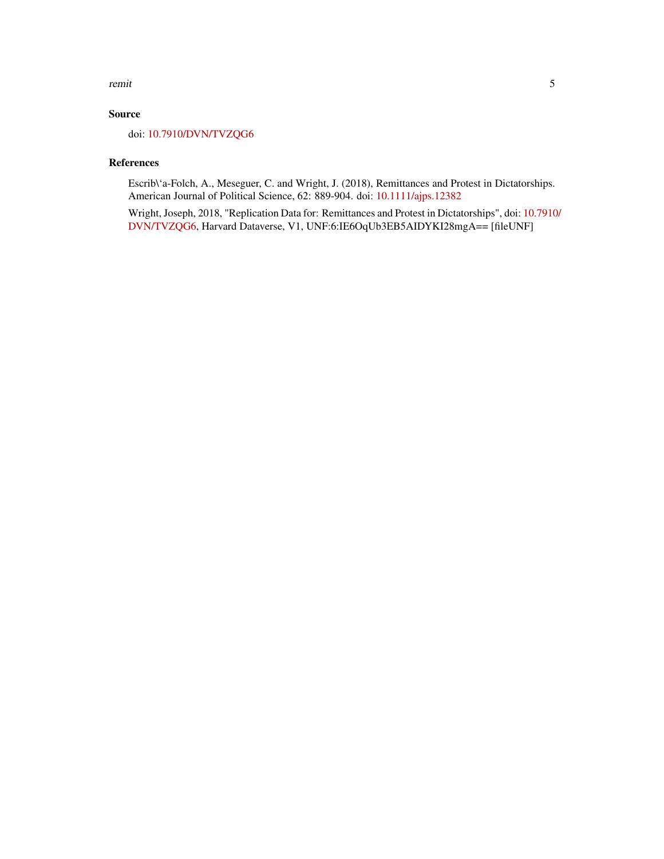#### remit 5

#### Source

doi: [10.7910/DVN/TVZQG6](https://doi.org/10.7910/DVN/TVZQG6)

#### References

Escrib\'a-Folch, A., Meseguer, C. and Wright, J. (2018), Remittances and Protest in Dictatorships. American Journal of Political Science, 62: 889-904. doi: [10.1111/ajps.12382](https://doi.org/10.1111/ajps.12382)

Wright, Joseph, 2018, "Replication Data for: Remittances and Protest in Dictatorships", doi: [10.7910](https://doi.org/10.7910/DVN/TVZQG6)/ [DVN/TVZQG6,](https://doi.org/10.7910/DVN/TVZQG6) Harvard Dataverse, V1, UNF:6:IE6OqUb3EB5AIDYKI28mgA== [fileUNF]